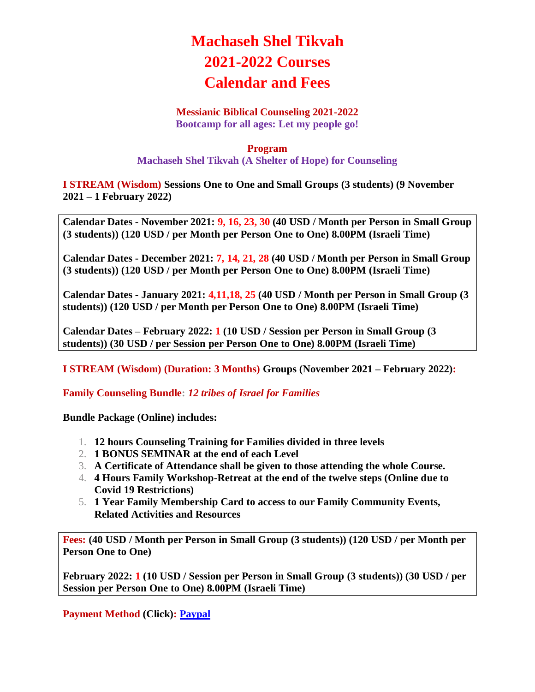## **Machaseh Shel Tikvah 2021-2022 Courses Calendar and Fees**

## **Messianic Biblical Counseling 2021-2022**

**Bootcamp for all ages: Let my people go!**

## **Program Machaseh Shel Tikvah (A Shelter of Hope) for Counseling**

**I STREAM (Wisdom) Sessions One to One and Small Groups (3 students) (9 November 2021 – 1 February 2022)**

**Calendar Dates - November 2021: 9, 16, 23, 30 (40 USD / Month per Person in Small Group (3 students)) (120 USD / per Month per Person One to One) 8.00PM (Israeli Time)**

**Calendar Dates - December 2021: 7, 14, 21, 28 (40 USD / Month per Person in Small Group (3 students)) (120 USD / per Month per Person One to One) 8.00PM (Israeli Time)**

**Calendar Dates - January 2021: 4,11,18, 25 (40 USD / Month per Person in Small Group (3 students)) (120 USD / per Month per Person One to One) 8.00PM (Israeli Time)**

**Calendar Dates – February 2022: 1 (10 USD / Session per Person in Small Group (3 students)) (30 USD / per Session per Person One to One) 8.00PM (Israeli Time)**

**I STREAM (Wisdom) (Duration: 3 Months) Groups (November 2021 – February 2022):**

**Family Counseling Bundle:** *12 tribes of Israel for Families*

**Bundle Package (Online) includes:**

- 1. **12 hours Counseling Training for Families divided in three levels**
- 2. **1 BONUS SEMINAR at the end of each Level**
- 3. **A Certificate of Attendance shall be given to those attending the whole Course.**
- 4. **4 Hours Family Workshop-Retreat at the end of the twelve steps (Online due to Covid 19 Restrictions)**
- 5. **1 Year Family Membership Card to access to our Family Community Events, Related Activities and Resources**

**Fees: (40 USD / Month per Person in Small Group (3 students)) (120 USD / per Month per Person One to One)**

**February 2022: 1 (10 USD / Session per Person in Small Group (3 students)) (30 USD / per Session per Person One to One) 8.00PM (Israeli Time)**

**Payment Method (Click): [Paypal](https://www.paypal.com/donate?hosted_button_id=UUVDA983CP9VY)**